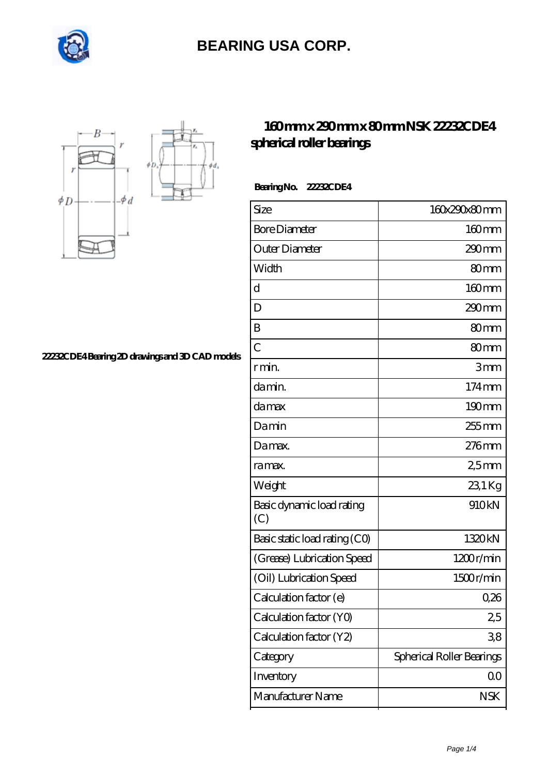



**[22232CDE4 Bearing 2D drawings and 3D CAD models](https://internationalbonsaiforum.com/pic-65127270.html)**

#### **[160 mm x 290 mm x 80 mm NSK 22232CDE4](https://internationalbonsaiforum.com/nsk-22232cde4-bearing/) [spherical roller bearings](https://internationalbonsaiforum.com/nsk-22232cde4-bearing/)**

 **Bearing No. 22232CDE4**

| Size                             | 160x290x80mm              |
|----------------------------------|---------------------------|
| <b>Bore Diameter</b>             | $160$ mm                  |
| Outer Diameter                   | 290 <sub>mm</sub>         |
| Width                            | 80mm                      |
| d                                | $160$ mm                  |
| D                                | $290$ mm                  |
| B                                | 80 <sub>mm</sub>          |
| $\overline{C}$                   | 80mm                      |
| r min.                           | 3mm                       |
| da min.                          | $174 \,\mathrm{mm}$       |
| damax                            | $190 \text{mm}$           |
| Damin                            | 255 mm                    |
| Damax.                           | $276$ mm                  |
| ra max.                          | 25mm                      |
| Weight                           | 231Kg                     |
| Basic dynamic load rating<br>(C) | 910kN                     |
| Basic static load rating (CO)    | 1320kN                    |
| (Grease) Lubrication Speed       | 1200r/min                 |
| (Oil) Lubrication Speed          | 1500r/min                 |
| Calculation factor (e)           | 0,26                      |
| Calculation factor (YO)          | 25                        |
| Calculation factor (Y2)          | 38                        |
| Category                         | Spherical Roller Bearings |
| Inventory                        | $00 \,$                   |
| Manufacturer Name                | <b>NSK</b>                |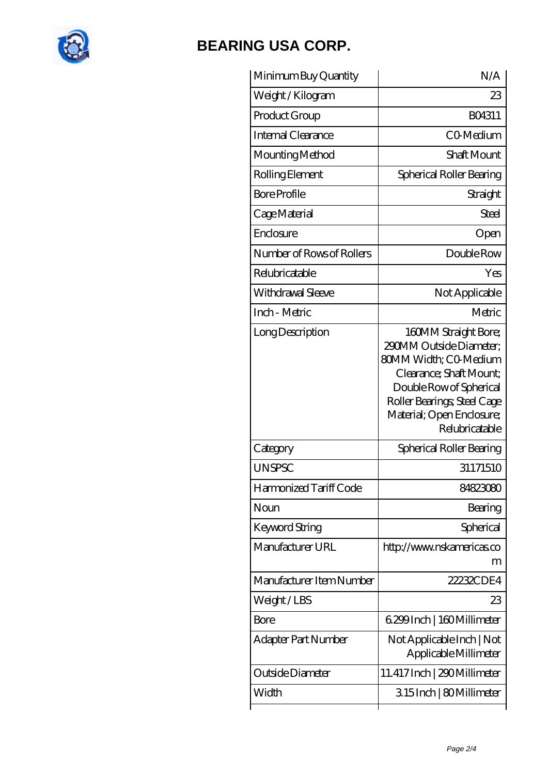

| Minimum Buy Quantity      | N/A                                                                                                                                                                                                          |
|---------------------------|--------------------------------------------------------------------------------------------------------------------------------------------------------------------------------------------------------------|
| Weight / Kilogram         | 23                                                                                                                                                                                                           |
| Product Group             | BO4311                                                                                                                                                                                                       |
| Internal Clearance        | <b>CO</b> Medium                                                                                                                                                                                             |
| Mounting Method           | <b>Shaft Mount</b>                                                                                                                                                                                           |
| Rolling Element           | Spherical Roller Bearing                                                                                                                                                                                     |
| <b>Bore Profile</b>       | Straight                                                                                                                                                                                                     |
| Cage Material             | Steel                                                                                                                                                                                                        |
| Enclosure                 | Open                                                                                                                                                                                                         |
| Number of Rows of Rollers | Double Row                                                                                                                                                                                                   |
| Relubricatable            | Yes                                                                                                                                                                                                          |
| Withdrawal Sleeve         | Not Applicable                                                                                                                                                                                               |
| Inch - Metric             | Metric                                                                                                                                                                                                       |
| Long Description          | 160MM Straight Bore;<br>290MM Outside Diameter:<br>80MM Width; CO-Medium<br>Clearance; Shaft Mount;<br>Double Row of Spherical<br>Roller Bearings; Steel Cage<br>Material; Open Enclosure;<br>Relubricatable |
| Category                  | Spherical Roller Bearing                                                                                                                                                                                     |
| <b>UNSPSC</b>             | 31171510                                                                                                                                                                                                     |
| Harmonized Tariff Code    | 84823080                                                                                                                                                                                                     |
| Noun                      | Bearing                                                                                                                                                                                                      |
| Keyword String            | Spherical                                                                                                                                                                                                    |
| Manufacturer URL          | http://www.nskamericas.co<br>m                                                                                                                                                                               |
| Manufacturer Item Number  | 22232CDE4                                                                                                                                                                                                    |
| Weight/LBS                | 23                                                                                                                                                                                                           |
| <b>Bore</b>               | 6.299 Inch   160 Millimeter                                                                                                                                                                                  |
| Adapter Part Number       | Not Applicable Inch   Not<br>Applicable Millimeter                                                                                                                                                           |
| Outside Diameter          | 11.417 Inch   290 Millimeter                                                                                                                                                                                 |
| Width                     | 315Inch   80Millimeter                                                                                                                                                                                       |
|                           |                                                                                                                                                                                                              |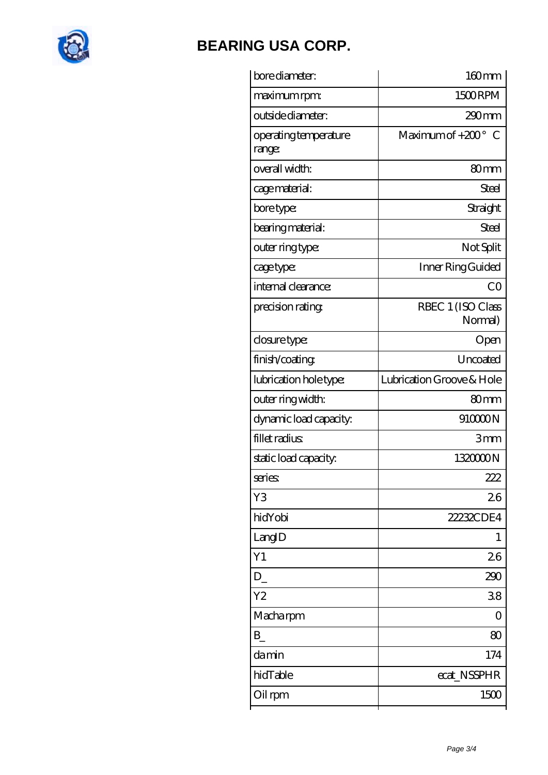

| bore diameter:                  | 160mm                        |
|---------------------------------|------------------------------|
| maximum rpm:                    | 1500RPM                      |
| outside diameter:               | $290 \text{mm}$              |
| operating temperature<br>range: | Maximum of $+200^\circ$ C    |
| overall width:                  | 80mm                         |
| cage material:                  | Steel                        |
| bore type:                      | Straight                     |
| bearing material:               | Steel                        |
| outer ring type:                | Not Split                    |
| cage type:                      | Inner Ring Guided            |
| internal clearance:             | CO                           |
| precision rating                | RBEC 1 (ISO Class<br>Normal) |
| closure type:                   | Open                         |
| finish/coating                  | Uncoated                     |
| lubrication hole type:          | Lubrication Groove & Hole    |
| outer ring width:               | 80 <sub>mm</sub>             |
| dynamic load capacity:          | 910000N                      |
| fillet radius                   | 3mm                          |
| static load capacity:           | 132000N                      |
| series:                         | 222.                         |
| Y3                              | 26                           |
| hidYobi                         | 22232CDE4                    |
| LangID                          | 1                            |
| Y1                              | 26                           |
| D                               | 290                          |
| Y <sub>2</sub>                  | 38                           |
| Macharpm                        | 0                            |
| B                               | 80                           |
| damin                           | 174                          |
| hidTable                        | ecat_NSSPHR                  |
| Oil rpm                         | 1500                         |
|                                 |                              |